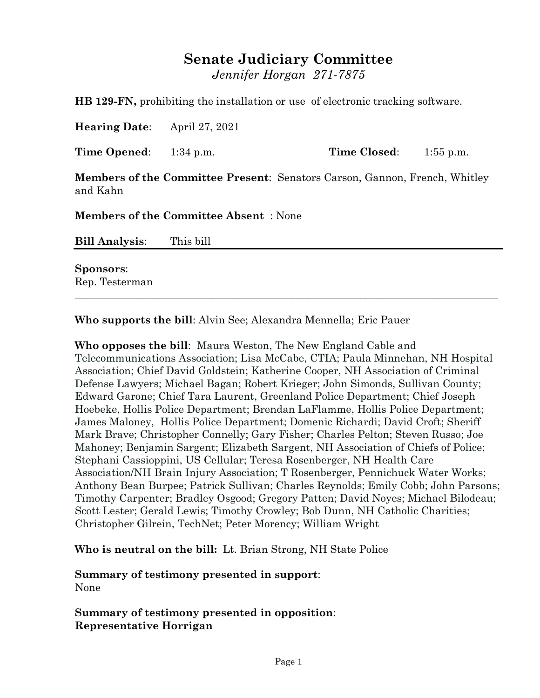# **Senate Judiciary Committee**

*Jennifer Horgan 271-7875*

**HB 129-FN,** prohibiting the installation or use of electronic tracking software.

**Hearing Date**: April 27, 2021

**Time Opened**: 1:34 p.m. **Time Closed**: 1:55 p.m.

**Members of the Committee Present**: Senators Carson, Gannon, French, Whitley and Kahn

**Members of the Committee Absent** : None

| <b>Bill Analysis:</b> | This bill |
|-----------------------|-----------|
|                       |           |

\_\_\_\_\_\_\_\_\_\_\_\_\_\_\_\_\_\_\_\_\_\_\_\_\_\_\_\_\_\_\_\_\_\_\_\_\_\_\_\_\_\_\_\_\_\_\_\_\_\_\_\_\_\_\_\_\_\_\_\_\_\_\_\_\_\_\_\_\_\_\_\_\_\_\_\_\_\_\_\_

**Sponsors**: Rep. Testerman

**Who supports the bill**: Alvin See; Alexandra Mennella; Eric Pauer

**Who opposes the bill**: Maura Weston, The New England Cable and Telecommunications Association; Lisa McCabe, CTIA; Paula Minnehan, NH Hospital Association; Chief David Goldstein; Katherine Cooper, NH Association of Criminal Defense Lawyers; Michael Bagan; Robert Krieger; John Simonds, Sullivan County; Edward Garone; Chief Tara Laurent, Greenland Police Department; Chief Joseph Hoebeke, Hollis Police Department; Brendan LaFlamme, Hollis Police Department; James Maloney, Hollis Police Department; Domenic Richardi; David Croft; Sheriff Mark Brave; Christopher Connelly; Gary Fisher; Charles Pelton; Steven Russo; Joe Mahoney; Benjamin Sargent; Elizabeth Sargent, NH Association of Chiefs of Police; Stephani Cassioppini, US Cellular; Teresa Rosenberger, NH Health Care Association/NH Brain Injury Association; T Rosenberger, Pennichuck Water Works; Anthony Bean Burpee; Patrick Sullivan; Charles Reynolds; Emily Cobb; John Parsons; Timothy Carpenter; Bradley Osgood; Gregory Patten; David Noyes; Michael Bilodeau; Scott Lester; Gerald Lewis; Timothy Crowley; Bob Dunn, NH Catholic Charities; Christopher Gilrein, TechNet; Peter Morency; William Wright

**Who is neutral on the bill:** Lt. Brian Strong, NH State Police

**Summary of testimony presented in support**: None

**Summary of testimony presented in opposition**: **Representative Horrigan**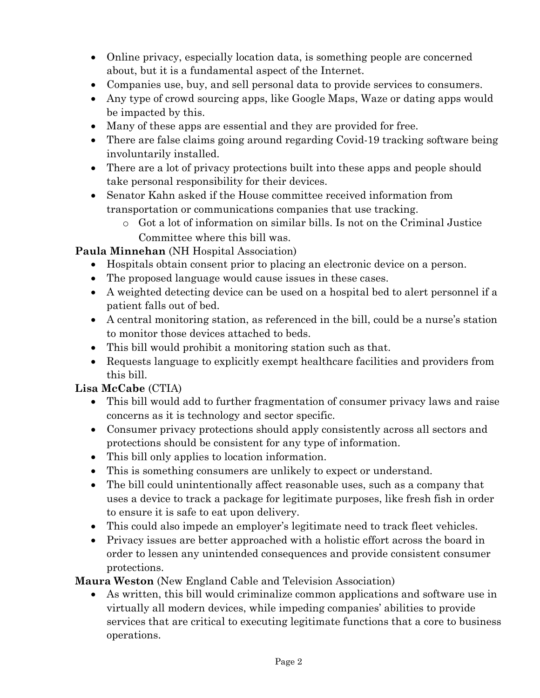- Online privacy, especially location data, is something people are concerned about, but it is a fundamental aspect of the Internet.
- Companies use, buy, and sell personal data to provide services to consumers.
- Any type of crowd sourcing apps, like Google Maps, Waze or dating apps would be impacted by this.
- Many of these apps are essential and they are provided for free.
- There are false claims going around regarding Covid-19 tracking software being involuntarily installed.
- There are a lot of privacy protections built into these apps and people should take personal responsibility for their devices.
- Senator Kahn asked if the House committee received information from transportation or communications companies that use tracking.
	- o Got a lot of information on similar bills. Is not on the Criminal Justice Committee where this bill was.

### **Paula Minnehan** (NH Hospital Association)

- Hospitals obtain consent prior to placing an electronic device on a person.
- The proposed language would cause issues in these cases.
- A weighted detecting device can be used on a hospital bed to alert personnel if a patient falls out of bed.
- A central monitoring station, as referenced in the bill, could be a nurse's station to monitor those devices attached to beds.
- This bill would prohibit a monitoring station such as that.
- Requests language to explicitly exempt healthcare facilities and providers from this bill.

# **Lisa McCabe** (CTIA)

- This bill would add to further fragmentation of consumer privacy laws and raise concerns as it is technology and sector specific.
- Consumer privacy protections should apply consistently across all sectors and protections should be consistent for any type of information.
- This bill only applies to location information.
- This is something consumers are unlikely to expect or understand.
- The bill could unintentionally affect reasonable uses, such as a company that uses a device to track a package for legitimate purposes, like fresh fish in order to ensure it is safe to eat upon delivery.
- This could also impede an employer's legitimate need to track fleet vehicles.
- Privacy issues are better approached with a holistic effort across the board in order to lessen any unintended consequences and provide consistent consumer protections.

**Maura Weston** (New England Cable and Television Association)

 As written, this bill would criminalize common applications and software use in virtually all modern devices, while impeding companies' abilities to provide services that are critical to executing legitimate functions that a core to business operations.